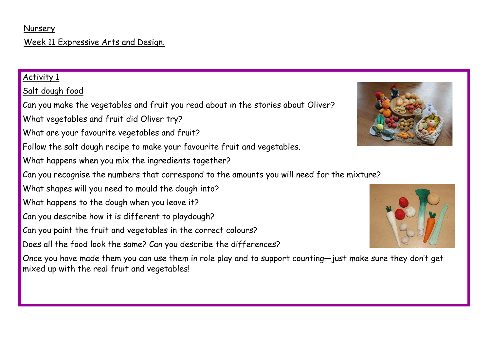#### Nursery

## Week 11 Expressive Arts and Design.

### Activity 1

# Salt dough food

Can you make the vegetables and fruit you read about in the stories about Oliver?

What vegetables and fruit did Oliver try?

- What are your favourite vegetables and fruit?
- Follow the salt dough recipe to make your favourite fruit and vegetables.
- What happens when you mix the ingredients together?
- Can you recognise the numbers that correspond to the amounts you will need for the mixture?
- What shapes will you need to mould the dough into?
- What happens to the dough when you leave it?
- Can you describe how it is different to playdough?
- Can you paint the fruit and vegetables in the correct colours?
- Does all the food look the same? Can you describe the differences?

Once you have made them you can use them in role play and to support counting—just make sure they don't get mixed up with the real fruit and vegetables!